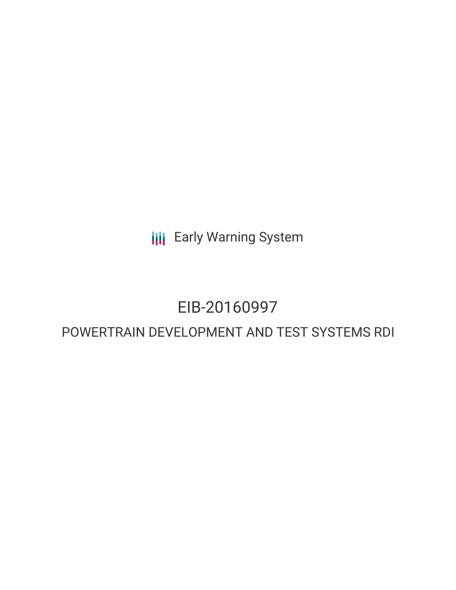**III** Early Warning System

# EIB-20160997

## POWERTRAIN DEVELOPMENT AND TEST SYSTEMS RDI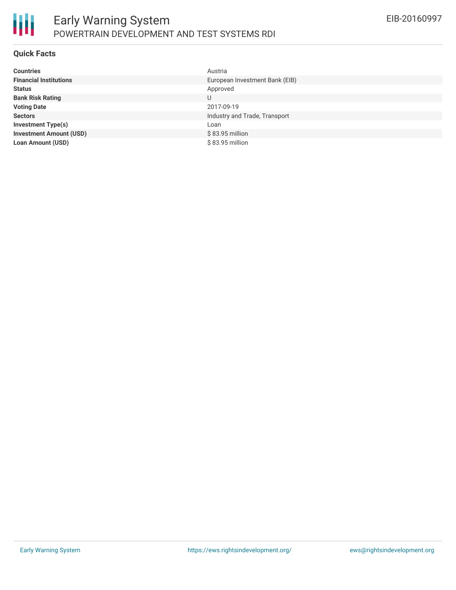

#### **Quick Facts**

| <b>Countries</b>               | Austria                        |
|--------------------------------|--------------------------------|
| <b>Financial Institutions</b>  | European Investment Bank (EIB) |
| <b>Status</b>                  | Approved                       |
| <b>Bank Risk Rating</b>        | U                              |
| <b>Voting Date</b>             | 2017-09-19                     |
| <b>Sectors</b>                 | Industry and Trade, Transport  |
| <b>Investment Type(s)</b>      | Loan                           |
| <b>Investment Amount (USD)</b> | \$83.95 million                |
| <b>Loan Amount (USD)</b>       | $$83.95$ million               |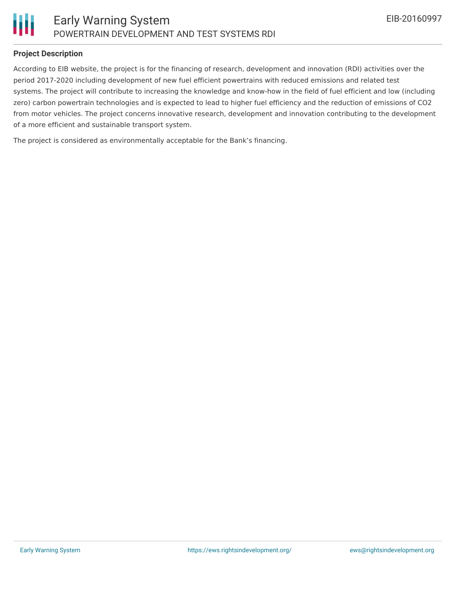

#### **Project Description**

According to EIB website, the project is for the financing of research, development and innovation (RDI) activities over the period 2017-2020 including development of new fuel efficient powertrains with reduced emissions and related test systems. The project will contribute to increasing the knowledge and know-how in the field of fuel efficient and low (including zero) carbon powertrain technologies and is expected to lead to higher fuel efficiency and the reduction of emissions of CO2 from motor vehicles. The project concerns innovative research, development and innovation contributing to the development of a more efficient and sustainable transport system.

The project is considered as environmentally acceptable for the Bank's financing.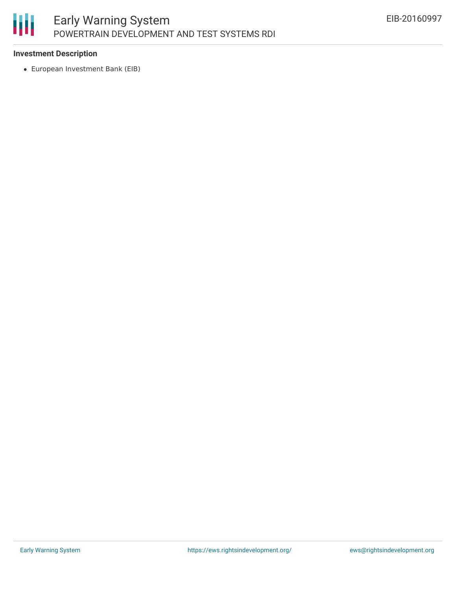

### **Investment Description**

European Investment Bank (EIB)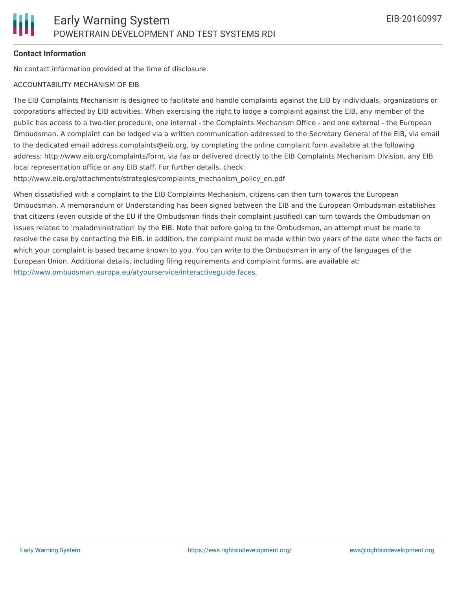#### **Contact Information**

No contact information provided at the time of disclosure.

#### ACCOUNTABILITY MECHANISM OF EIB

The EIB Complaints Mechanism is designed to facilitate and handle complaints against the EIB by individuals, organizations or corporations affected by EIB activities. When exercising the right to lodge a complaint against the EIB, any member of the public has access to a two-tier procedure, one internal - the Complaints Mechanism Office - and one external - the European Ombudsman. A complaint can be lodged via a written communication addressed to the Secretary General of the EIB, via email to the dedicated email address complaints@eib.org, by completing the online complaint form available at the following address: http://www.eib.org/complaints/form, via fax or delivered directly to the EIB Complaints Mechanism Division, any EIB local representation office or any EIB staff. For further details, check:

http://www.eib.org/attachments/strategies/complaints\_mechanism\_policy\_en.pdf

When dissatisfied with a complaint to the EIB Complaints Mechanism, citizens can then turn towards the European Ombudsman. A memorandum of Understanding has been signed between the EIB and the European Ombudsman establishes that citizens (even outside of the EU if the Ombudsman finds their complaint justified) can turn towards the Ombudsman on issues related to 'maladministration' by the EIB. Note that before going to the Ombudsman, an attempt must be made to resolve the case by contacting the EIB. In addition, the complaint must be made within two years of the date when the facts on which your complaint is based became known to you. You can write to the Ombudsman in any of the languages of the European Union. Additional details, including filing requirements and complaint forms, are available at: <http://www.ombudsman.europa.eu/atyourservice/interactiveguide.faces>.